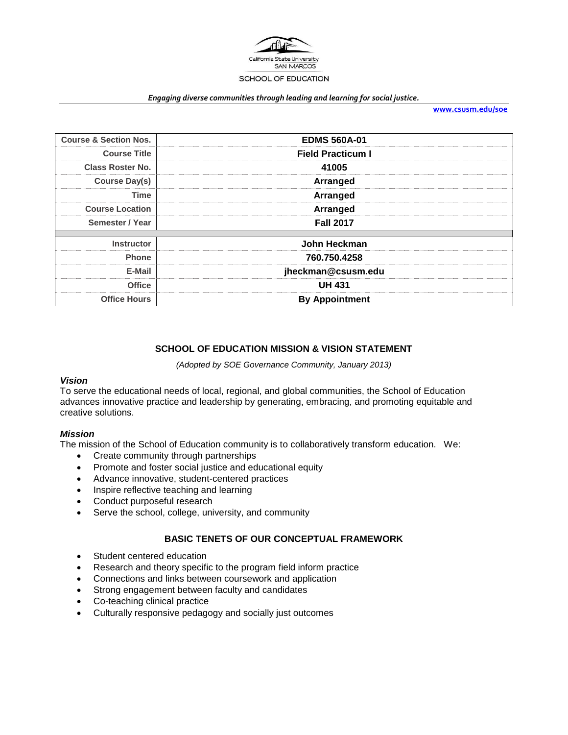

#### *Engaging diverse communities through leading and learning for social justice.*

**[www.csusm.edu/soe](http://www.csusm.edu/soe)**

| <b>Course &amp; Section Nos.</b> | <b>EDMS 560A-01</b>      |
|----------------------------------|--------------------------|
| <b>Course Title</b>              | <b>Field Practicum I</b> |
| <b>Class Roster No.</b>          | 41005                    |
| Course Day(s)                    | Arranged                 |
| Time                             | Arranged                 |
| <b>Course Location</b>           | Arranged                 |
| Semester / Year                  | <b>Fall 2017</b>         |
| <b>Instructor</b>                | John Heckman             |
| <b>Phone</b>                     | 760.750.4258             |
| E-Mail                           | jheckman@csusm.edu       |
| <b>Office</b>                    | <b>UH 431</b>            |
| <b>Office Hours</b>              | <b>By Appointment</b>    |

# **SCHOOL OF EDUCATION MISSION & VISION STATEMENT**

*(Adopted by SOE Governance Community, January 2013)*

#### *Vision*

To serve the educational needs of local, regional, and global communities, the School of Education advances innovative practice and leadership by generating, embracing, and promoting equitable and creative solutions.

#### *Mission*

The mission of the School of Education community is to collaboratively transform education. We:

- Create community through partnerships
- Promote and foster social justice and educational equity
- Advance innovative, student-centered practices
- Inspire reflective teaching and learning
- Conduct purposeful research
- Serve the school, college, university, and community

## **BASIC TENETS OF OUR CONCEPTUAL FRAMEWORK**

- Student centered education
- Research and theory specific to the program field inform practice
- Connections and links between coursework and application
- Strong engagement between faculty and candidates
- Co-teaching clinical practice
- Culturally responsive pedagogy and socially just outcomes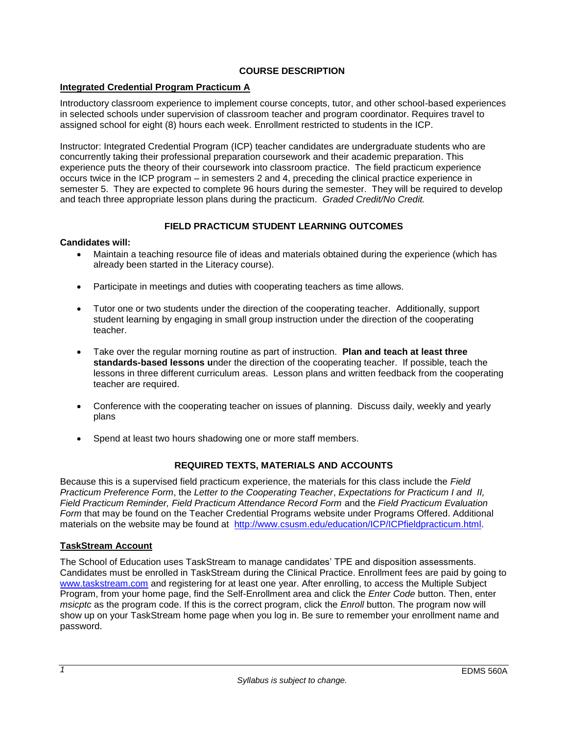## **COURSE DESCRIPTION**

## **Integrated Credential Program Practicum A**

Introductory classroom experience to implement course concepts, tutor, and other school-based experiences in selected schools under supervision of classroom teacher and program coordinator. Requires travel to assigned school for eight (8) hours each week. Enrollment restricted to students in the ICP.

Instructor: Integrated Credential Program (ICP) teacher candidates are undergraduate students who are concurrently taking their professional preparation coursework and their academic preparation. This experience puts the theory of their coursework into classroom practice. The field practicum experience occurs twice in the ICP program – in semesters 2 and 4, preceding the clinical practice experience in semester 5. They are expected to complete 96 hours during the semester. They will be required to develop and teach three appropriate lesson plans during the practicum. *Graded Credit/No Credit.* 

# **FIELD PRACTICUM STUDENT LEARNING OUTCOMES**

### **Candidates will:**

- Maintain a teaching resource file of ideas and materials obtained during the experience (which has already been started in the Literacy course).
- Participate in meetings and duties with cooperating teachers as time allows.
- Tutor one or two students under the direction of the cooperating teacher. Additionally, support student learning by engaging in small group instruction under the direction of the cooperating teacher.
- Take over the regular morning routine as part of instruction. **Plan and teach at least three standards-based lessons u**nder the direction of the cooperating teacher. If possible, teach the lessons in three different curriculum areas. Lesson plans and written feedback from the cooperating teacher are required.
- Conference with the cooperating teacher on issues of planning. Discuss daily, weekly and yearly plans
- Spend at least two hours shadowing one or more staff members.

# **REQUIRED TEXTS, MATERIALS AND ACCOUNTS**

Because this is a supervised field practicum experience, the materials for this class include the *Field Practicum Preference Form*, the *Letter to the Cooperating Teacher*, *Expectations for Practicum I and II, Field Practicum Reminder, Field Practicum Attendance Record Form* and the *Field Practicum Evaluation Form* that may be found on the Teacher Credential Programs website under Programs Offered. Additional materials on the website may be found at [http://www.csusm.edu/education/ICP/ICPfieldpracticum.html.](http://www.csusm.edu/education/ICP/ICPfieldpracticum.html)

## **TaskStream Account**

The School of Education uses TaskStream to manage candidates' TPE and disposition assessments. Candidates must be enrolled in TaskStream during the Clinical Practice. Enrollment fees are paid by going to [www.taskstream.com](http://www.taskstrem.com/) and registering for at least one year. After enrolling, to access the Multiple Subject Program, from your home page, find the Self-Enrollment area and click the *Enter Code* button. Then, enter *msicptc* as the program code. If this is the correct program, click the *Enroll* button. The program now will show up on your TaskStream home page when you log in. Be sure to remember your enrollment name and password.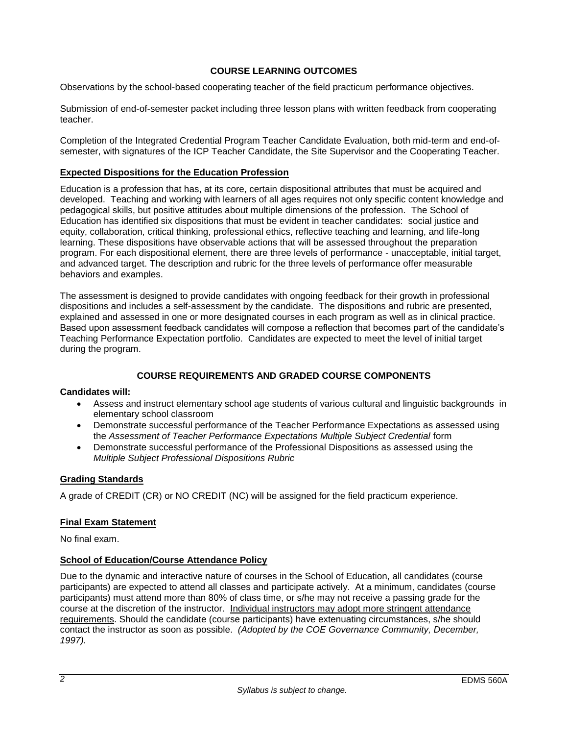## **COURSE LEARNING OUTCOMES**

Observations by the school-based cooperating teacher of the field practicum performance objectives.

Submission of end-of-semester packet including three lesson plans with written feedback from cooperating teacher.

Completion of the Integrated Credential Program Teacher Candidate Evaluation, both mid-term and end-ofsemester, with signatures of the ICP Teacher Candidate, the Site Supervisor and the Cooperating Teacher.

### **Expected Dispositions for the Education Profession**

Education is a profession that has, at its core, certain dispositional attributes that must be acquired and developed. Teaching and working with learners of all ages requires not only specific content knowledge and pedagogical skills, but positive attitudes about multiple dimensions of the profession. The School of Education has identified six dispositions that must be evident in teacher candidates: social justice and equity, collaboration, critical thinking, professional ethics, reflective teaching and learning, and life-long learning. These dispositions have observable actions that will be assessed throughout the preparation program. For each dispositional element, there are three levels of performance - unacceptable, initial target, and advanced target. The description and rubric for the three levels of performance offer measurable behaviors and examples.

The assessment is designed to provide candidates with ongoing feedback for their growth in professional dispositions and includes a self-assessment by the candidate. The dispositions and rubric are presented, explained and assessed in one or more designated courses in each program as well as in clinical practice. Based upon assessment feedback candidates will compose a reflection that becomes part of the candidate's Teaching Performance Expectation portfolio. Candidates are expected to meet the level of initial target during the program.

## **COURSE REQUIREMENTS AND GRADED COURSE COMPONENTS**

#### **Candidates will:**

- Assess and instruct elementary school age students of various cultural and linguistic backgrounds in elementary school classroom
- Demonstrate successful performance of the Teacher Performance Expectations as assessed using the *Assessment of Teacher Performance Expectations Multiple Subject Credential* form
- Demonstrate successful performance of the Professional Dispositions as assessed using the *Multiple Subject Professional Dispositions Rubric*

#### **Grading Standards**

A grade of CREDIT (CR) or NO CREDIT (NC) will be assigned for the field practicum experience.

#### **Final Exam Statement**

No final exam.

#### **School of Education/Course Attendance Policy**

Due to the dynamic and interactive nature of courses in the School of Education, all candidates (course participants) are expected to attend all classes and participate actively. At a minimum, candidates (course participants) must attend more than 80% of class time, or s/he may not receive a passing grade for the course at the discretion of the instructor. Individual instructors may adopt more stringent attendance requirements. Should the candidate (course participants) have extenuating circumstances, s/he should contact the instructor as soon as possible. *(Adopted by the COE Governance Community, December, 1997).*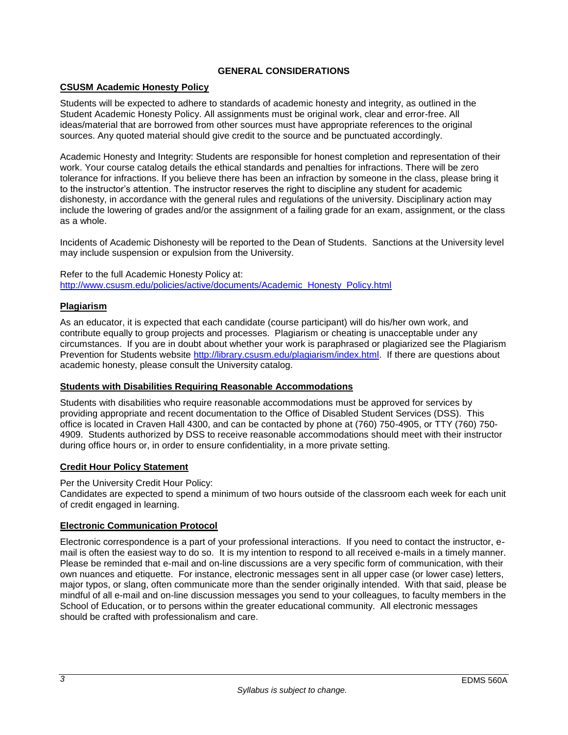## **GENERAL CONSIDERATIONS**

# **CSUSM Academic Honesty Policy**

Students will be expected to adhere to standards of academic honesty and integrity, as outlined in the Student Academic Honesty Policy. All assignments must be original work, clear and error-free. All ideas/material that are borrowed from other sources must have appropriate references to the original sources. Any quoted material should give credit to the source and be punctuated accordingly.

Academic Honesty and Integrity: Students are responsible for honest completion and representation of their work. Your course catalog details the ethical standards and penalties for infractions. There will be zero tolerance for infractions. If you believe there has been an infraction by someone in the class, please bring it to the instructor's attention. The instructor reserves the right to discipline any student for academic dishonesty, in accordance with the general rules and regulations of the university. Disciplinary action may include the lowering of grades and/or the assignment of a failing grade for an exam, assignment, or the class as a whole.

Incidents of Academic Dishonesty will be reported to the Dean of Students. Sanctions at the University level may include suspension or expulsion from the University.

Refer to the full Academic Honesty Policy at: [http://www.csusm.edu/policies/active/documents/Academic\\_Honesty\\_Policy.html](http://www.csusm.edu/policies/active/documents/Academic_Honesty_Policy.html)

#### **Plagiarism**

As an educator, it is expected that each candidate (course participant) will do his/her own work, and contribute equally to group projects and processes. Plagiarism or cheating is unacceptable under any circumstances. If you are in doubt about whether your work is paraphrased or plagiarized see the Plagiarism Prevention for Students website [http://library.csusm.edu/plagiarism/index.html.](http://library.csusm.edu/plagiarism/index.html) If there are questions about academic honesty, please consult the University catalog.

#### **Students with Disabilities Requiring Reasonable Accommodations**

Students with disabilities who require reasonable accommodations must be approved for services by providing appropriate and recent documentation to the Office of Disabled Student Services (DSS). This office is located in Craven Hall 4300, and can be contacted by phone at (760) 750-4905, or TTY (760) 750- 4909. Students authorized by DSS to receive reasonable accommodations should meet with their instructor during office hours or, in order to ensure confidentiality, in a more private setting.

## **Credit Hour Policy Statement**

Per the University Credit Hour Policy:

Candidates are expected to spend a minimum of two hours outside of the classroom each week for each unit of credit engaged in learning.

## **Electronic Communication Protocol**

Electronic correspondence is a part of your professional interactions. If you need to contact the instructor, email is often the easiest way to do so. It is my intention to respond to all received e-mails in a timely manner. Please be reminded that e-mail and on-line discussions are a very specific form of communication, with their own nuances and etiquette. For instance, electronic messages sent in all upper case (or lower case) letters, major typos, or slang, often communicate more than the sender originally intended. With that said, please be mindful of all e-mail and on-line discussion messages you send to your colleagues, to faculty members in the School of Education, or to persons within the greater educational community. All electronic messages should be crafted with professionalism and care.